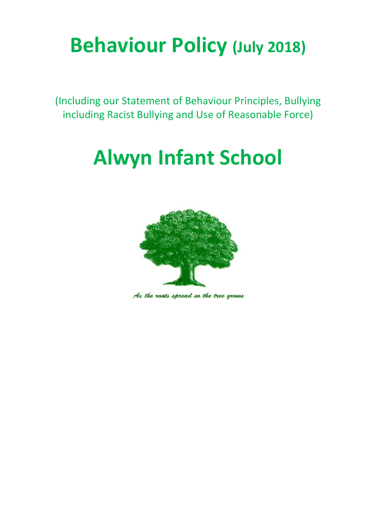# **Behaviour Policy (July 2018)**

(Including our Statement of Behaviour Principles, Bullying including Racist Bullying and Use of Reasonable Force)

# **Alwyn Infant School**



As the roots spread so the tree grows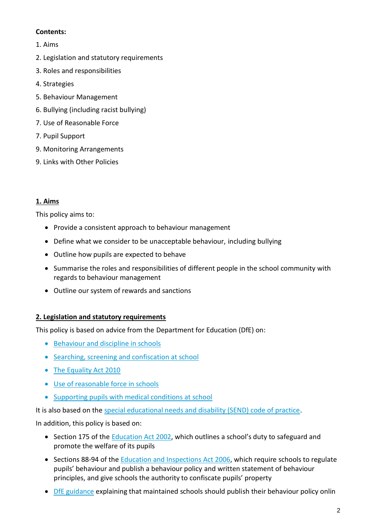### **Contents:**

- 1. Aims
- 2. Legislation and statutory requirements
- 3. Roles and responsibilities
- 4. Strategies
- 5. Behaviour Management
- 6. Bullying (including racist bullying)
- 7. Use of Reasonable Force
- 7. Pupil Support
- 9. Monitoring Arrangements
- 9. Links with Other Policies

## **1. Aims**

This policy aims to:

- Provide a consistent approach to behaviour management
- Define what we consider to be unacceptable behaviour, including bullying
- Outline how pupils are expected to behave
- Summarise the roles and responsibilities of different people in the school community with regards to behaviour management
- Outline our system of rewards and sanctions

#### **2. Legislation and statutory requirements**

This policy is based on advice from the Department for Education (DfE) on:

- [Behaviour and discipline in schools](https://www.gov.uk/government/publications/behaviour-and-discipline-in-schools)
- [Searching, screening and confiscation at school](https://www.gov.uk/government/publications/searching-screening-and-confiscation)
- [The Equality Act 2010](https://www.gov.uk/government/publications/equality-act-2010-advice-for-schools)
- [Use of reasonable force in schools](https://www.gov.uk/government/publications/use-of-reasonable-force-in-schools)
- [Supporting pupils with medical conditions at school](https://www.gov.uk/government/publications/supporting-pupils-at-school-with-medical-conditions--3)

It is also based on the [special educational needs and disability \(SEND\) code of practice.](https://www.gov.uk/government/publications/send-code-of-practice-0-to-25)

In addition, this policy is based on:

- Section 175 of the [Education Act 2002](http://www.legislation.gov.uk/ukpga/2002/32/section/175), which outlines a school's duty to safeguard and promote the welfare of its pupils
- Sections 88-94 of the [Education and Inspections Act 2006,](http://www.legislation.gov.uk/ukpga/2006/40/section/88) which require schools to regulate pupils' behaviour and publish a behaviour policy and written statement of behaviour principles, and give schools the authority to confiscate pupils' property
- [DfE guidance](https://www.gov.uk/guidance/what-maintained-schools-must-publish-online#behaviour-policy) explaining that maintained schools should publish their behaviour policy onlin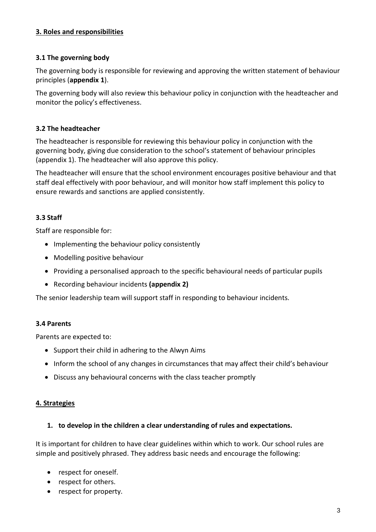### **3. Roles and responsibilities**

#### **3.1 The governing body**

The governing body is responsible for reviewing and approving the written statement of behaviour principles (**appendix 1**).

The governing body will also review this behaviour policy in conjunction with the headteacher and monitor the policy's effectiveness.

#### **3.2 The headteacher**

The headteacher is responsible for reviewing this behaviour policy in conjunction with the governing body, giving due consideration to the school's statement of behaviour principles (appendix 1). The headteacher will also approve this policy.

The headteacher will ensure that the school environment encourages positive behaviour and that staff deal effectively with poor behaviour, and will monitor how staff implement this policy to ensure rewards and sanctions are applied consistently.

## **3.3 Staff**

Staff are responsible for:

- Implementing the behaviour policy consistently
- Modelling positive behaviour
- Providing a personalised approach to the specific behavioural needs of particular pupils
- Recording behaviour incidents **(appendix 2)**

The senior leadership team will support staff in responding to behaviour incidents.

#### **3.4 Parents**

Parents are expected to:

- Support their child in adhering to the Alwyn Aims
- Inform the school of any changes in circumstances that may affect their child's behaviour
- Discuss any behavioural concerns with the class teacher promptly

#### **4. Strategies**

#### **1. to develop in the children a clear understanding of rules and expectations.**

It is important for children to have clear guidelines within which to work. Our school rules are simple and positively phrased. They address basic needs and encourage the following:

- respect for oneself.
- respect for others.
- respect for property.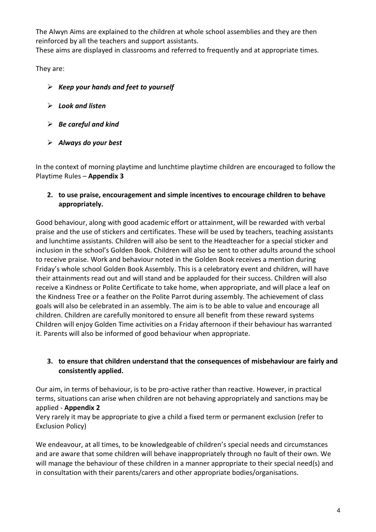The Alwyn Aims are explained to the children at whole school assemblies and they are then reinforced by all the teachers and support assistants.

These aims are displayed in classrooms and referred to frequently and at appropriate times.

They are:

- *Keep your hands and feet to yourself*
- *Look and listen*
- *Be careful and kind*
- *Always do your best*

In the context of morning playtime and lunchtime playtime children are encouraged to follow the Playtime Rules – **Appendix 3**

## **2. to use praise, encouragement and simple incentives to encourage children to behave appropriately.**

Good behaviour, along with good academic effort or attainment, will be rewarded with verbal praise and the use of stickers and certificates. These will be used by teachers, teaching assistants and lunchtime assistants. Children will also be sent to the Headteacher for a special sticker and inclusion in the school's Golden Book. Children will also be sent to other adults around the school to receive praise. Work and behaviour noted in the Golden Book receives a mention during Friday's whole school Golden Book Assembly. This is a celebratory event and children, will have their attainments read out and will stand and be applauded for their success. Children will also receive a Kindness or Polite Certificate to take home, when appropriate, and will place a leaf on the Kindness Tree or a feather on the Polite Parrot during assembly. The achievement of class goals will also be celebrated in an assembly. The aim is to be able to value and encourage all children. Children are carefully monitored to ensure all benefit from these reward systems Children will enjoy Golden Time activities on a Friday afternoon if their behaviour has warranted it. Parents will also be informed of good behaviour when appropriate.

## **3. to ensure that children understand that the consequences of misbehaviour are fairly and consistently applied.**

Our aim, in terms of behaviour, is to be pro-active rather than reactive. However, in practical terms, situations can arise when children are not behaving appropriately and sanctions may be applied - **Appendix 2**

Very rarely it may be appropriate to give a child a fixed term or permanent exclusion (refer to Exclusion Policy)

We endeavour, at all times, to be knowledgeable of children's special needs and circumstances and are aware that some children will behave inappropriately through no fault of their own. We will manage the behaviour of these children in a manner appropriate to their special need(s) and in consultation with their parents/carers and other appropriate bodies/organisations.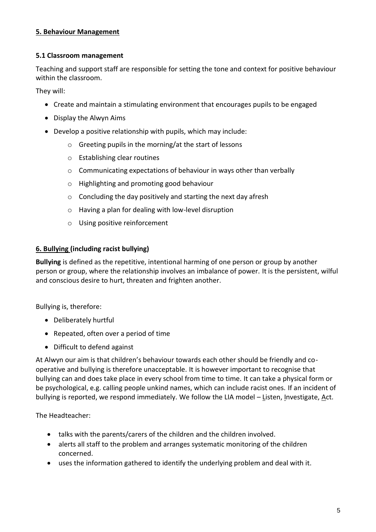### **5. Behaviour Management**

#### **5.1 Classroom management**

Teaching and support staff are responsible for setting the tone and context for positive behaviour within the classroom.

They will:

- Create and maintain a stimulating environment that encourages pupils to be engaged
- Display the Alwyn Aims
- Develop a positive relationship with pupils, which may include:
	- o Greeting pupils in the morning/at the start of lessons
	- o Establishing clear routines
	- o Communicating expectations of behaviour in ways other than verbally
	- o Highlighting and promoting good behaviour
	- o Concluding the day positively and starting the next day afresh
	- o Having a plan for dealing with low-level disruption
	- o Using positive reinforcement

### **6. Bullying (including racist bullying)**

**Bullying** is defined as the repetitive, intentional harming of one person or group by another person or group, where the relationship involves an imbalance of power. It is the persistent, wilful and conscious desire to hurt, threaten and frighten another.

Bullying is, therefore:

- Deliberately hurtful
- Repeated, often over a period of time
- Difficult to defend against

At Alwyn our aim is that children's behaviour towards each other should be friendly and cooperative and bullying is therefore unacceptable. It is however important to recognise that bullying can and does take place in every school from time to time. It can take a physical form or be psychological, e.g. calling people unkind names, which can include racist ones. If an incident of bullying is reported, we respond immediately. We follow the LIA model – Listen, Investigate, Act.

The Headteacher:

- talks with the parents/carers of the children and the children involved.
- alerts all staff to the problem and arranges systematic monitoring of the children concerned.
- uses the information gathered to identify the underlying problem and deal with it.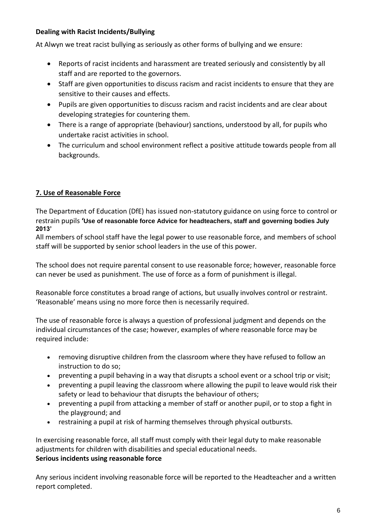### **Dealing with Racist Incidents/Bullying**

At Alwyn we treat racist bullying as seriously as other forms of bullying and we ensure:

- Reports of racist incidents and harassment are treated seriously and consistently by all staff and are reported to the governors.
- Staff are given opportunities to discuss racism and racist incidents to ensure that they are sensitive to their causes and effects.
- Pupils are given opportunities to discuss racism and racist incidents and are clear about developing strategies for countering them.
- There is a range of appropriate (behaviour) sanctions, understood by all, for pupils who undertake racist activities in school.
- The curriculum and school environment reflect a positive attitude towards people from all backgrounds.

### **7. Use of Reasonable Force**

The Department of Education (DfE) has issued non-statutory guidance on using force to control or restrain pupils **'Use of reasonable force Advice for headteachers, staff and governing bodies July 2013'**

All members of school staff have the legal power to use reasonable force, and members of school staff will be supported by senior school leaders in the use of this power.

The school does not require parental consent to use reasonable force; however, reasonable force can never be used as punishment. The use of force as a form of punishment is illegal.

Reasonable force constitutes a broad range of actions, but usually involves control or restraint. 'Reasonable' means using no more force then is necessarily required.

The use of reasonable force is always a question of professional judgment and depends on the individual circumstances of the case; however, examples of where reasonable force may be required include:

- removing disruptive children from the classroom where they have refused to follow an instruction to do so;
- preventing a pupil behaving in a way that disrupts a school event or a school trip or visit;
- preventing a pupil leaving the classroom where allowing the pupil to leave would risk their safety or lead to behaviour that disrupts the behaviour of others;
- preventing a pupil from attacking a member of staff or another pupil, or to stop a fight in the playground; and
- restraining a pupil at risk of harming themselves through physical outbursts.

In exercising reasonable force, all staff must comply with their legal duty to make reasonable adjustments for children with disabilities and special educational needs. **Serious incidents using reasonable force**

Any serious incident involving reasonable force will be reported to the Headteacher and a written report completed.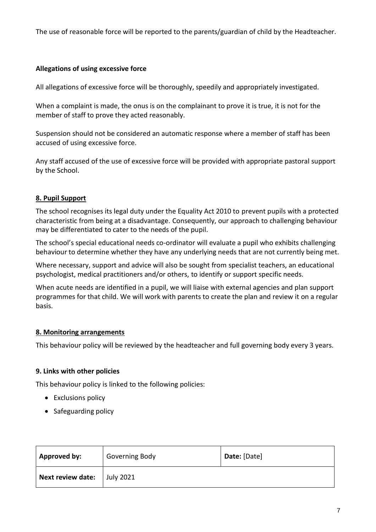The use of reasonable force will be reported to the parents/guardian of child by the Headteacher.

#### **Allegations of using excessive force**

All allegations of excessive force will be thoroughly, speedily and appropriately investigated.

When a complaint is made, the onus is on the complainant to prove it is true, it is not for the member of staff to prove they acted reasonably.

Suspension should not be considered an automatic response where a member of staff has been accused of using excessive force.

Any staff accused of the use of excessive force will be provided with appropriate pastoral support by the School.

### **8. Pupil Support**

The school recognises its legal duty under the Equality Act 2010 to prevent pupils with a protected characteristic from being at a disadvantage. Consequently, our approach to challenging behaviour may be differentiated to cater to the needs of the pupil.

The school's special educational needs co-ordinator will evaluate a pupil who exhibits challenging behaviour to determine whether they have any underlying needs that are not currently being met.

Where necessary, support and advice will also be sought from specialist teachers, an educational psychologist, medical practitioners and/or others, to identify or support specific needs.

When acute needs are identified in a pupil, we will liaise with external agencies and plan support programmes for that child. We will work with parents to create the plan and review it on a regular basis.

#### **8. Monitoring arrangements**

This behaviour policy will be reviewed by the headteacher and full governing body every 3 years.

#### **9. Links with other policies**

This behaviour policy is linked to the following policies:

- Exclusions policy
- Safeguarding policy

| <b>Approved by:</b>      | <b>Governing Body</b> | Date: [Date] |
|--------------------------|-----------------------|--------------|
| <b>Next review date:</b> | <b>July 2021</b>      |              |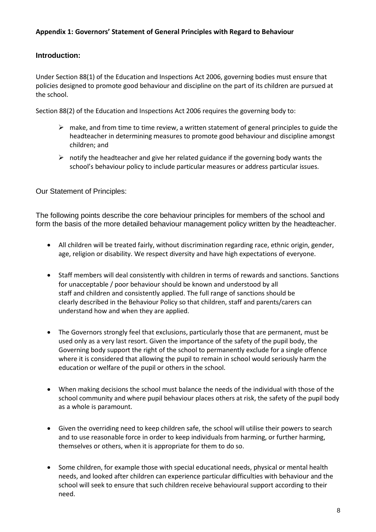#### **Appendix 1: Governors' Statement of General Principles with Regard to Behaviour**

#### **Introduction:**

Under Section 88(1) of the Education and Inspections Act 2006, governing bodies must ensure that policies designed to promote good behaviour and discipline on the part of its children are pursued at the school.

Section 88(2) of the Education and Inspections Act 2006 requires the governing body to:

- $\triangleright$  make, and from time to time review, a written statement of general principles to guide the headteacher in determining measures to promote good behaviour and discipline amongst children; and
- $\triangleright$  notify the headteacher and give her related guidance if the governing body wants the school's behaviour policy to include particular measures or address particular issues.

Our Statement of Principles:

The following points describe the core behaviour principles for members of the school and form the basis of the more detailed behaviour management policy written by the headteacher.

- All children will be treated fairly, without discrimination regarding race, ethnic origin, gender, age, religion or disability. We respect diversity and have high expectations of everyone.
- Staff members will deal consistently with children in terms of rewards and sanctions. Sanctions for unacceptable / poor behaviour should be known and understood by all staff and children and consistently applied. The full range of sanctions should be clearly described in the Behaviour Policy so that children, staff and parents/carers can understand how and when they are applied.
- The Governors strongly feel that exclusions, particularly those that are permanent, must be used only as a very last resort. Given the importance of the safety of the pupil body, the Governing body support the right of the school to permanently exclude for a single offence where it is considered that allowing the pupil to remain in school would seriously harm the education or welfare of the pupil or others in the school.
- When making decisions the school must balance the needs of the individual with those of the school community and where pupil behaviour places others at risk, the safety of the pupil body as a whole is paramount.
- Given the overriding need to keep children safe, the school will utilise their powers to search and to use reasonable force in order to keep individuals from harming, or further harming, themselves or others, when it is appropriate for them to do so.
- Some children, for example those with special educational needs, physical or mental health needs, and looked after children can experience particular difficulties with behaviour and the school will seek to ensure that such children receive behavioural support according to their need.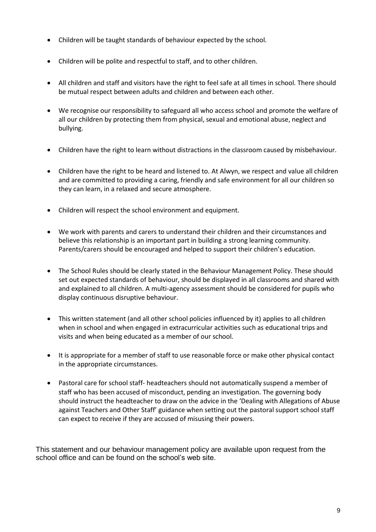- Children will be taught standards of behaviour expected by the school.
- Children will be polite and respectful to staff, and to other children.
- All children and staff and visitors have the right to feel safe at all times in school. There should be mutual respect between adults and children and between each other.
- We recognise our responsibility to safeguard all who access school and promote the welfare of all our children by protecting them from physical, sexual and emotional abuse, neglect and bullying.
- Children have the right to learn without distractions in the classroom caused by misbehaviour.
- Children have the right to be heard and listened to. At Alwyn, we respect and value all children and are committed to providing a caring, friendly and safe environment for all our children so they can learn, in a relaxed and secure atmosphere.
- Children will respect the school environment and equipment.
- We work with parents and carers to understand their children and their circumstances and believe this relationship is an important part in building a strong learning community. Parents/carers should be encouraged and helped to support their children's education.
- The School Rules should be clearly stated in the Behaviour Management Policy. These should set out expected standards of behaviour, should be displayed in all classrooms and shared with and explained to all children. A multi-agency assessment should be considered for pupils who display continuous disruptive behaviour.
- This written statement (and all other school policies influenced by it) applies to all children when in school and when engaged in extracurricular activities such as educational trips and visits and when being educated as a member of our school.
- It is appropriate for a member of staff to use reasonable force or make other physical contact in the appropriate circumstances.
- Pastoral care for school staff- headteachers should not automatically suspend a member of staff who has been accused of misconduct, pending an investigation. The governing body should instruct the headteacher to draw on the advice in the 'Dealing with Allegations of Abuse against Teachers and Other Staff' guidance when setting out the pastoral support school staff can expect to receive if they are accused of misusing their powers.

This statement and our behaviour management policy are available upon request from the school office and can be found on the school's web site.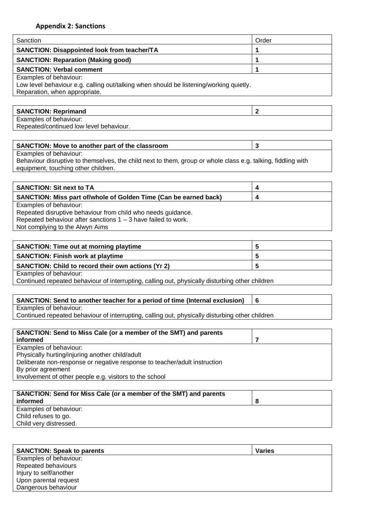#### **Appendix 2: Sanctions**

| Sanction                                                                                                                | Order          |
|-------------------------------------------------------------------------------------------------------------------------|----------------|
| SANCTION: Disappointed look from teacher/TA                                                                             | 1              |
|                                                                                                                         |                |
| <b>SANCTION: Reparation (Making good)</b>                                                                               | 1              |
| <b>SANCTION: Verbal comment</b>                                                                                         | 1              |
| Examples of behaviour:                                                                                                  |                |
| Low level behaviour e.g. calling out/talking when should be listening/working quietly.<br>Reparation, when appropriate. |                |
|                                                                                                                         |                |
| <b>SANCTION: Reprimand</b>                                                                                              | $\mathbf{2}$   |
| Examples of behaviour:                                                                                                  |                |
| Repeated/continued low level behaviour.                                                                                 |                |
|                                                                                                                         |                |
| SANCTION: Move to another part of the classroom                                                                         | $\mathbf{3}$   |
| Examples of behaviour:                                                                                                  |                |
| Behaviour disruptive to themselves, the child next to them, group or whole class e.g. talking, fiddling with            |                |
| equipment, touching other children.                                                                                     |                |
|                                                                                                                         |                |
| <b>SANCTION: Sit next to TA</b>                                                                                         | 4              |
| SANCTION: Miss part of/whole of Golden Time (Can be earned back)                                                        | 4              |
| Examples of behaviour:                                                                                                  |                |
| Repeated disruptive behaviour from child who needs guidance.                                                            |                |
| Repeated behaviour after sanctions $1 - 3$ have failed to work.                                                         |                |
| Not complying to the Alwyn Aims                                                                                         |                |
|                                                                                                                         |                |
| <b>SANCTION: Time out at morning playtime</b>                                                                           | 5              |
| <b>SANCTION: Finish work at playtime</b>                                                                                | 5              |
| SANCTION: Child to record their own actions (Yr 2)                                                                      | 5              |
| Examples of behaviour:                                                                                                  |                |
| Continued repeated behaviour of interrupting, calling out, physically disturbing other children                         |                |
|                                                                                                                         |                |
| SANCTION: Send to another teacher for a period of time (Internal exclusion)                                             | 6              |
| Examples of behaviour:                                                                                                  |                |
| Continued repeated behaviour of interrupting, calling out, physically disturbing other children                         |                |
| SANCTION: Send to Miss Cale (or a member of the SMT) and parents                                                        |                |
| informed                                                                                                                | $\overline{7}$ |
| Examples of behaviour:                                                                                                  |                |
| Physically hurting/injuring another child/adult                                                                         |                |
| Deliberate non-response or negative response to teacher/adult instruction                                               |                |

By prior agreement

Involvement of other people e.g. visitors to the school

| SANCTION: Send for Miss Cale (or a member of the SMT) and parents |  |
|-------------------------------------------------------------------|--|
| informed                                                          |  |
| Examples of behaviour:                                            |  |
| Child refuses to go.                                              |  |
| Child very distressed.                                            |  |
|                                                                   |  |

| <b>SANCTION: Speak to parents</b> | <b>Varies</b> |
|-----------------------------------|---------------|
| Examples of behaviour:            |               |
| Repeated behaviours               |               |
| Injury to self/another            |               |
| Upon parental request             |               |
| Dangerous behaviour               |               |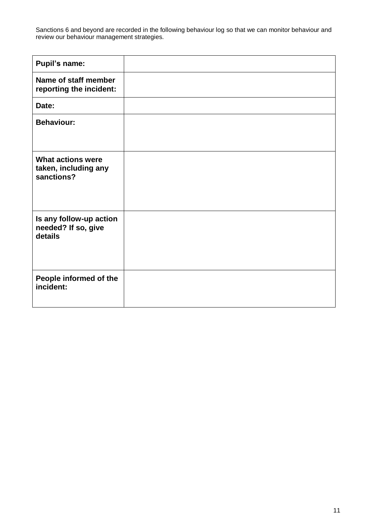Sanctions 6 and beyond are recorded in the following behaviour log so that we can monitor behaviour and review our behaviour management strategies.

| <b>Pupil's name:</b>                                           |  |
|----------------------------------------------------------------|--|
| Name of staff member<br>reporting the incident:                |  |
| Date:                                                          |  |
| <b>Behaviour:</b>                                              |  |
| <b>What actions were</b><br>taken, including any<br>sanctions? |  |
| Is any follow-up action<br>needed? If so, give<br>details      |  |
| People informed of the<br>incident:                            |  |